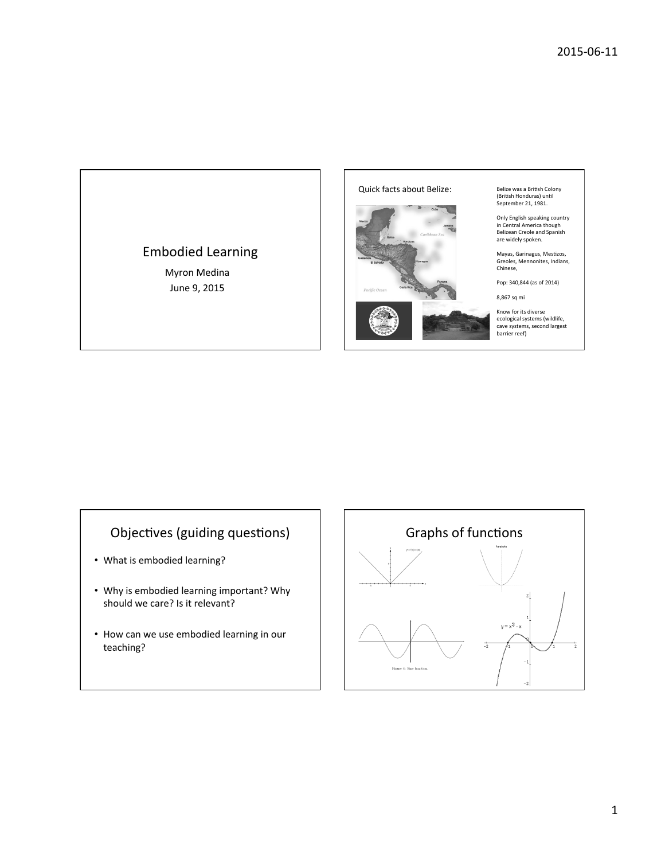## Embodied Learning

Myron Medina June 9, 2015



Belize was a British Colony (British Honduras) until<br>September 21, 1981.

Only English speaking country<br>in Central America though<br>Belizean Creole and Spanish<br>are widely spoken.

Mayas, Garinagus, Mestizos,<br>Greoles, Mennonites, Indians,<br>Chinese,

Pop: 340,844 (as of 2014)

8,867 sq mi 

Know for its diverse<br>ecological systems (wildlife,<br>cave systems, second largest<br>barrier reef)

## Objectives (guiding questions)

- What is embodied learning?
- Why is embodied learning important? Why should we care? Is it relevant?
- How can we use embodied learning in our teaching?

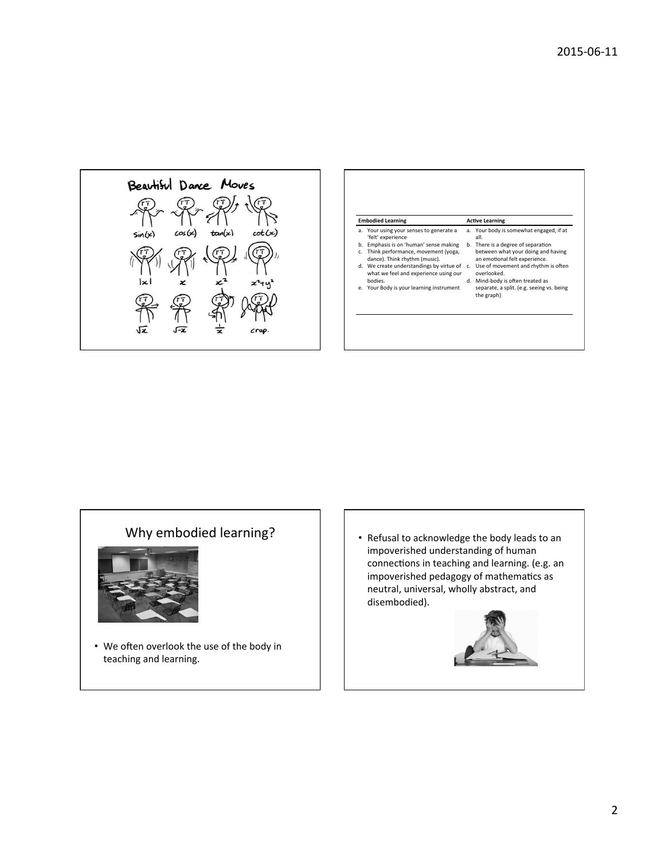

| <b>Embodied Learning</b> |                                                                                   | <b>Active Learning</b> |                                                                     |
|--------------------------|-----------------------------------------------------------------------------------|------------------------|---------------------------------------------------------------------|
| a.                       | Your using your senses to generate a<br>'felt' experience                         |                        | a. Your body is somewhat engaged, if at<br>all.                     |
| b.                       | Emphasis is on 'human' sense making                                               |                        | b. There is a degree of separation                                  |
| C.                       | Think performance, movement (yoga,<br>dance). Think rhythm (music).               |                        | between what your doing and having<br>an emotional felt experience. |
|                          | d. We create understandings by virtue of<br>what we feel and experience using our | $\mathsf{C}$           | Use of movement and rhythm is often<br>overlooked.                  |
|                          | hodies.                                                                           |                        | d. Mind-body is often treated as                                    |
| e.                       | Your Body is your learning instrument                                             |                        | separate, a split. (e.g. seeing vs. being<br>the graph)             |

## Why embodied learning?



- We often overlook the use of the body in teaching and learning.
- Refusal to acknowledge the body leads to an impoverished understanding of human connections in teaching and learning. (e.g. an impoverished pedagogy of mathematics as neutral, universal, wholly abstract, and disembodied).